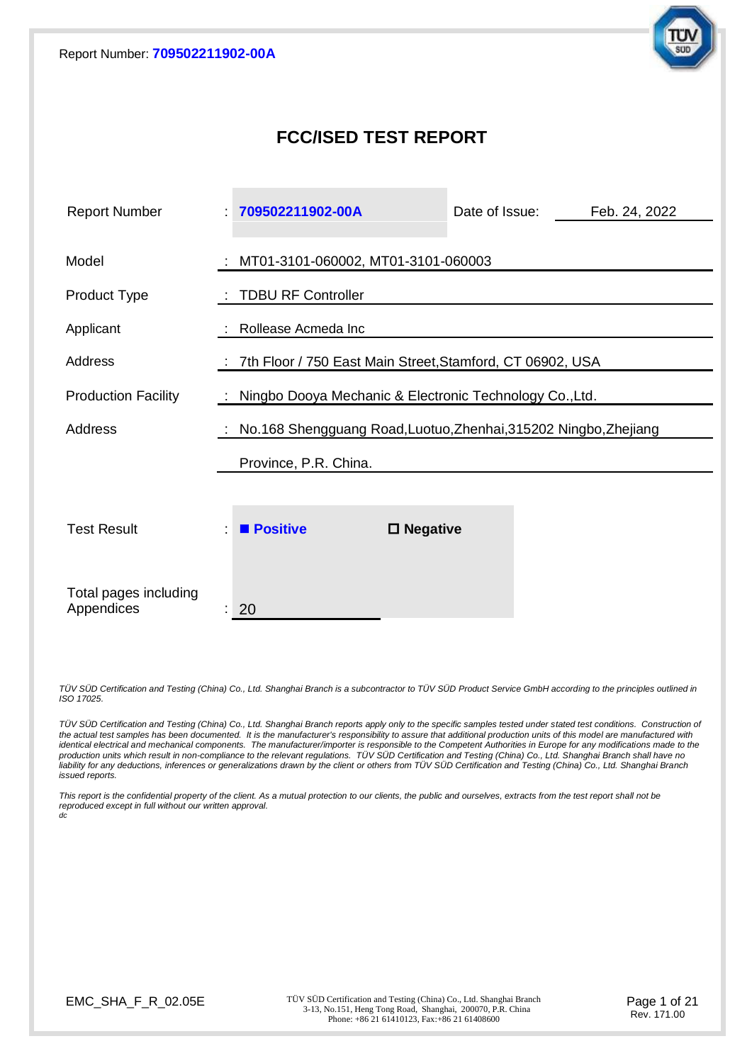

## **FCC/ISED TEST REPORT**

| <b>Report Number</b>                |                                                           | 709502211902-00A                                                 |                    | Date of Issue: | Feb. 24, 2022 |  |  |
|-------------------------------------|-----------------------------------------------------------|------------------------------------------------------------------|--------------------|----------------|---------------|--|--|
| Model                               |                                                           | MT01-3101-060002, MT01-3101-060003                               |                    |                |               |  |  |
| <b>Product Type</b>                 |                                                           | <b>TDBU RF Controller</b>                                        |                    |                |               |  |  |
| Applicant                           |                                                           | Rollease Acmeda Inc                                              |                    |                |               |  |  |
| Address                             |                                                           | 7th Floor / 750 East Main Street, Stamford, CT 06902, USA        |                    |                |               |  |  |
| <b>Production Facility</b>          | : Ningbo Dooya Mechanic & Electronic Technology Co., Ltd. |                                                                  |                    |                |               |  |  |
| Address                             |                                                           | No.168 Shengguang Road, Luotuo, Zhenhai, 315202 Ningbo, Zhejiang |                    |                |               |  |  |
|                                     |                                                           | Province, P.R. China.                                            |                    |                |               |  |  |
|                                     |                                                           |                                                                  |                    |                |               |  |  |
| <b>Test Result</b>                  |                                                           | <b>Positive</b>                                                  | $\square$ Negative |                |               |  |  |
| Total pages including<br>Appendices |                                                           | 20                                                               |                    |                |               |  |  |

*TÜV SÜD Certification and Testing (China) Co., Ltd. Shanghai Branch is a subcontractor to TÜV SÜD Product Service GmbH according to the principles outlined in ISO 17025.*

*TÜV SÜD Certification and Testing (China) Co., Ltd. Shanghai Branch reports apply only to the specific samples tested under stated test conditions. Construction of*  the actual test samples has been documented. It is the manufacturer's responsibility to assure that additional production units of this model are manufactured with<br>identical electrical and mechanical components. The manufa *production units which result in non-compliance to the relevant regulations. TÜV SÜD Certification and Testing (China) Co., Ltd. Shanghai Branch shall have no liability for any deductions, inferences or generalizations drawn by the client or others from TÜV SÜD Certification and Testing (China) Co., Ltd. Shanghai Branch issued reports.*

*This report is the confidential property of the client. As a mutual protection to our clients, the public and ourselves, extracts from the test report shall not be reproduced except in full without our written approval. dc*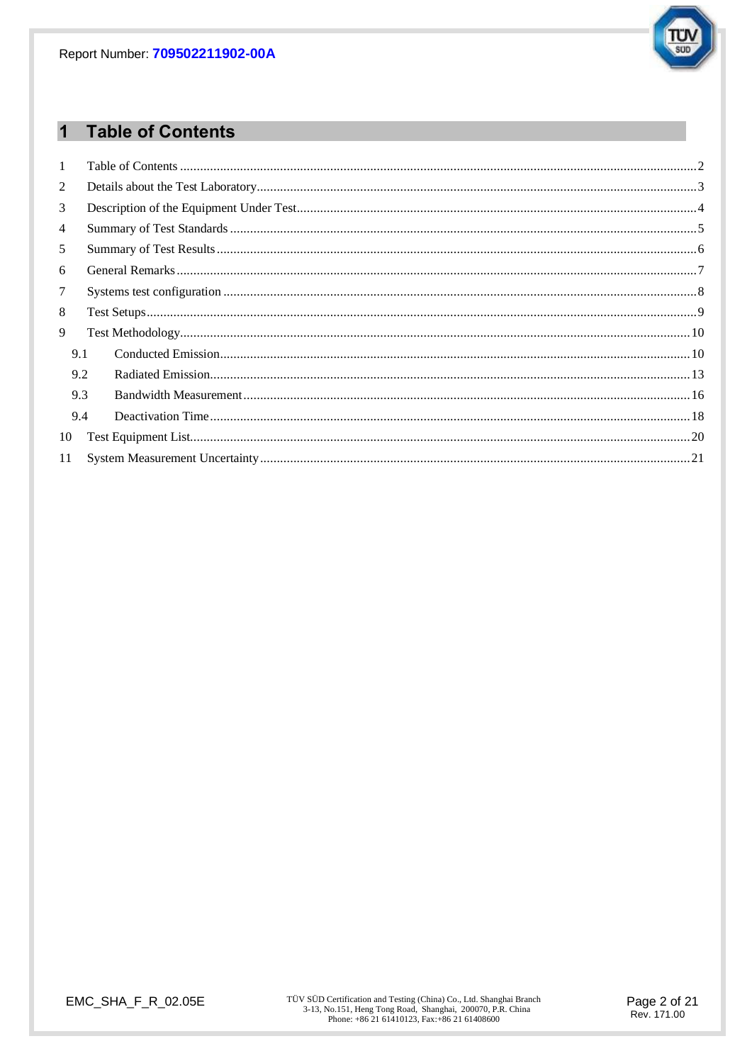

#### **Table of Contents**  $\overline{1}$

| $\mathbf{1}$   |     |  |  |  |  |
|----------------|-----|--|--|--|--|
| $\mathfrak{2}$ |     |  |  |  |  |
| 3              |     |  |  |  |  |
| $\overline{4}$ |     |  |  |  |  |
| 5              |     |  |  |  |  |
| 6              |     |  |  |  |  |
| 7              |     |  |  |  |  |
| 8              |     |  |  |  |  |
| 9              |     |  |  |  |  |
|                | 9.1 |  |  |  |  |
|                | 9.2 |  |  |  |  |
|                | 9.3 |  |  |  |  |
|                | 9.4 |  |  |  |  |
| 10             |     |  |  |  |  |
| 11             |     |  |  |  |  |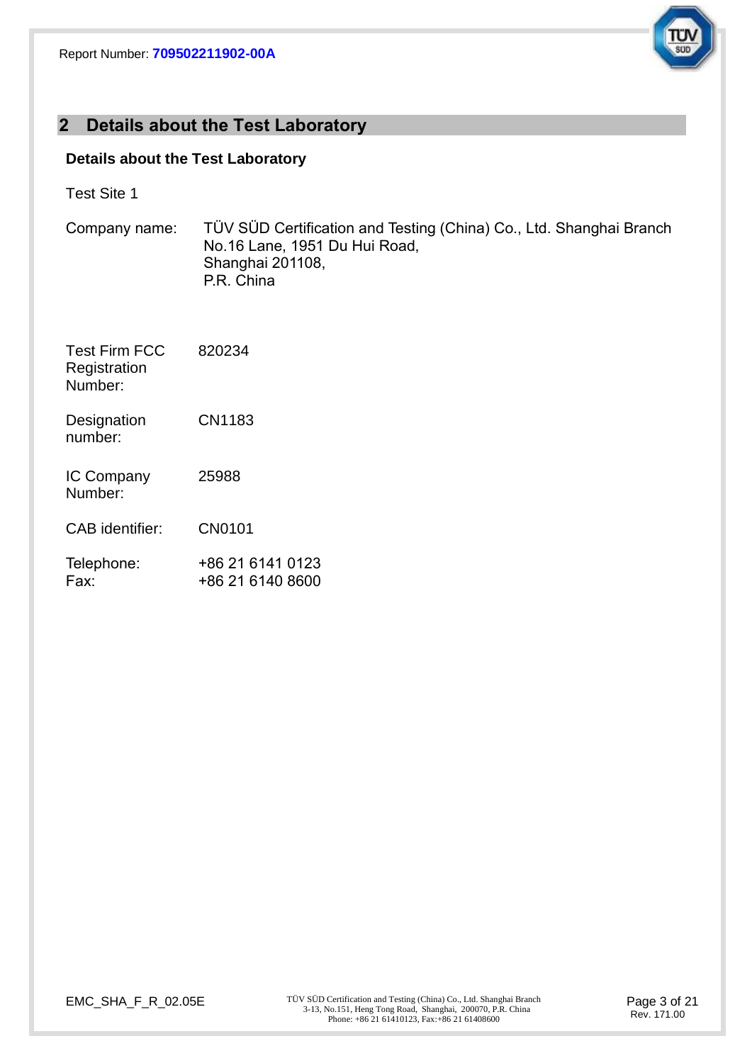

## **2 Details about the Test Laboratory**

#### **Details about the Test Laboratory**

| <b>Test Site 1</b> |  |
|--------------------|--|
|--------------------|--|

| Company name:                                   | TÜV SÜD Certification and Testing (China) Co., Ltd. Shanghai Branch<br>No.16 Lane, 1951 Du Hui Road,<br>Shanghai 201108,<br>P.R. China |
|-------------------------------------------------|----------------------------------------------------------------------------------------------------------------------------------------|
| <b>Test Firm FCC</b><br>Registration<br>Number: | 820234                                                                                                                                 |
| Designation<br>number:                          | CN1183                                                                                                                                 |
| IC Company<br>Number:                           | 25988                                                                                                                                  |
| <b>CAB</b> identifier:                          | CN0101                                                                                                                                 |
| Telephone:<br>Fax:                              | +86 21 6141 0123<br>+86 21 6140 8600                                                                                                   |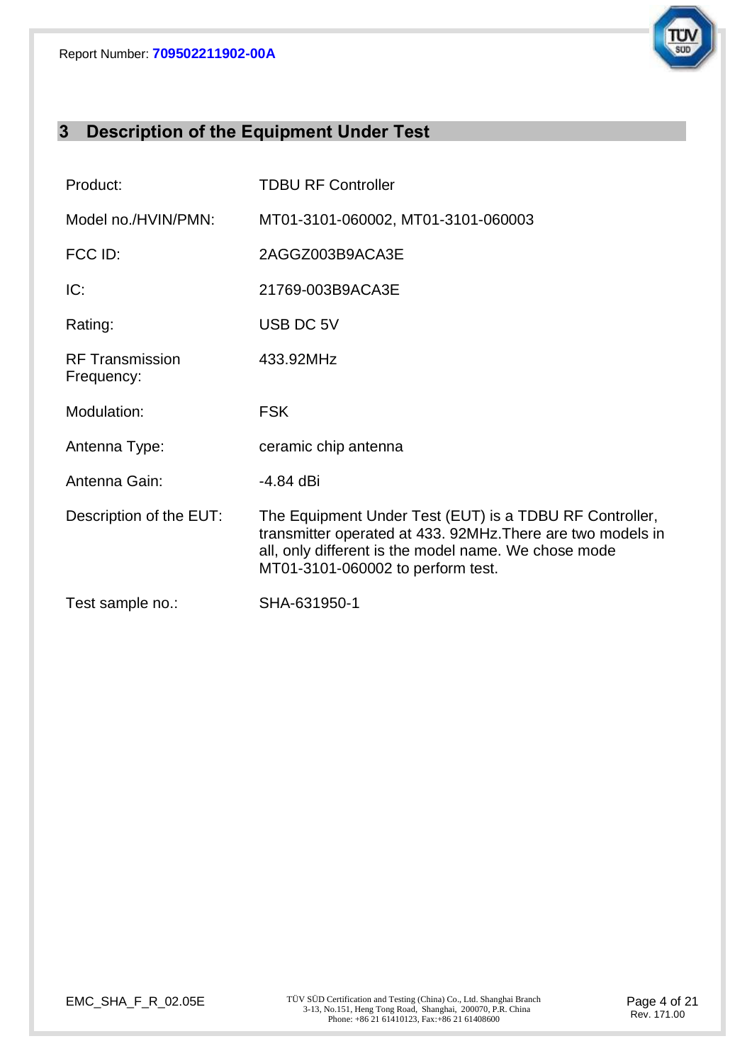

# **3 Description of the Equipment Under Test**

| Product:                             | <b>TDBU RF Controller</b>                                                                                                                                                                                           |
|--------------------------------------|---------------------------------------------------------------------------------------------------------------------------------------------------------------------------------------------------------------------|
| Model no./HVIN/PMN:                  | MT01-3101-060002, MT01-3101-060003                                                                                                                                                                                  |
| FCC ID:                              | 2AGGZ003B9ACA3E                                                                                                                                                                                                     |
| IC:                                  | 21769-003B9ACA3E                                                                                                                                                                                                    |
| Rating:                              | USB DC 5V                                                                                                                                                                                                           |
| <b>RF Transmission</b><br>Frequency: | 433.92MHz                                                                                                                                                                                                           |
| Modulation:                          | <b>FSK</b>                                                                                                                                                                                                          |
| Antenna Type:                        | ceramic chip antenna                                                                                                                                                                                                |
| Antenna Gain:                        | -4.84 dBi                                                                                                                                                                                                           |
| Description of the EUT:              | The Equipment Under Test (EUT) is a TDBU RF Controller,<br>transmitter operated at 433. 92MHz. There are two models in<br>all, only different is the model name. We chose mode<br>MT01-3101-060002 to perform test. |
| Test sample no.:                     | SHA-631950-1                                                                                                                                                                                                        |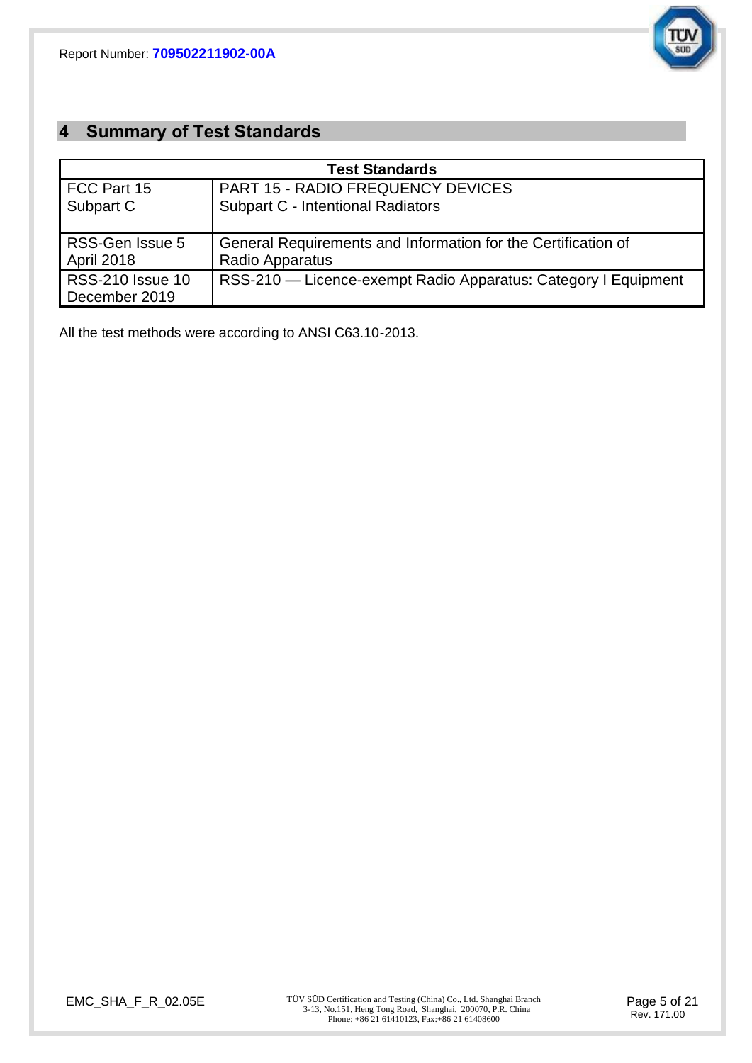

## **4 Summary of Test Standards**

| <b>Test Standards</b>   |                                                                |  |  |  |
|-------------------------|----------------------------------------------------------------|--|--|--|
| FCC Part 15             | <b>PART 15 - RADIO FREQUENCY DEVICES</b>                       |  |  |  |
| Subpart C               | <b>Subpart C - Intentional Radiators</b>                       |  |  |  |
|                         |                                                                |  |  |  |
| RSS-Gen Issue 5         | General Requirements and Information for the Certification of  |  |  |  |
| April 2018              | Radio Apparatus                                                |  |  |  |
| <b>RSS-210 Issue 10</b> | RSS-210 - Licence-exempt Radio Apparatus: Category I Equipment |  |  |  |
| December 2019           |                                                                |  |  |  |

All the test methods were according to ANSI C63.10-2013.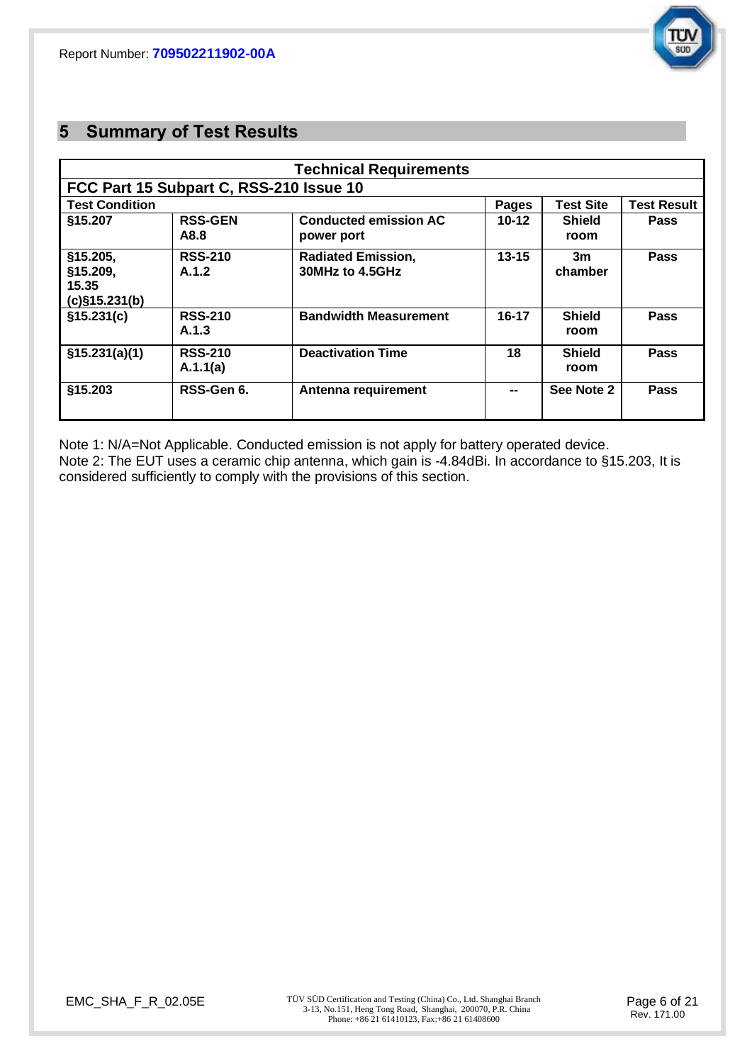

## **5 Summary of Test Results**

|                                                   |                                         | <b>Technical Requirements</b>                |           |                       |                    |
|---------------------------------------------------|-----------------------------------------|----------------------------------------------|-----------|-----------------------|--------------------|
|                                                   | FCC Part 15 Subpart C, RSS-210 Issue 10 |                                              |           |                       |                    |
| <b>Test Condition</b>                             |                                         |                                              | Pages     | Test Site             | <b>Test Result</b> |
| §15.207                                           | <b>RSS-GEN</b><br>A8.8                  | <b>Conducted emission AC</b><br>power port   | $10 - 12$ | <b>Shield</b><br>room | <b>Pass</b>        |
| §15.205,<br>§15.209,<br>15.35<br>$(c)$ §15.231(b) | <b>RSS-210</b><br>A.1.2                 | <b>Radiated Emission,</b><br>30MHz to 4.5GHz | $13 - 15$ | 3m<br>chamber         | <b>Pass</b>        |
| \$15.231(c)                                       | <b>RSS-210</b><br>A.1.3                 | <b>Bandwidth Measurement</b>                 | $16 - 17$ | <b>Shield</b><br>room | Pass               |
| \$15.231(a)(1)                                    | <b>RSS-210</b><br>A.1.1(a)              | <b>Deactivation Time</b>                     | 18        | <b>Shield</b><br>room | Pass               |
| §15.203                                           | RSS-Gen 6.                              | Antenna requirement                          | --        | See Note 2            | Pass               |

Note 1: N/A=Not Applicable. Conducted emission is not apply for battery operated device. Note 2: The EUT uses a ceramic chip antenna, which gain is -4.84dBi. In accordance to §15.203, It is considered sufficiently to comply with the provisions of this section.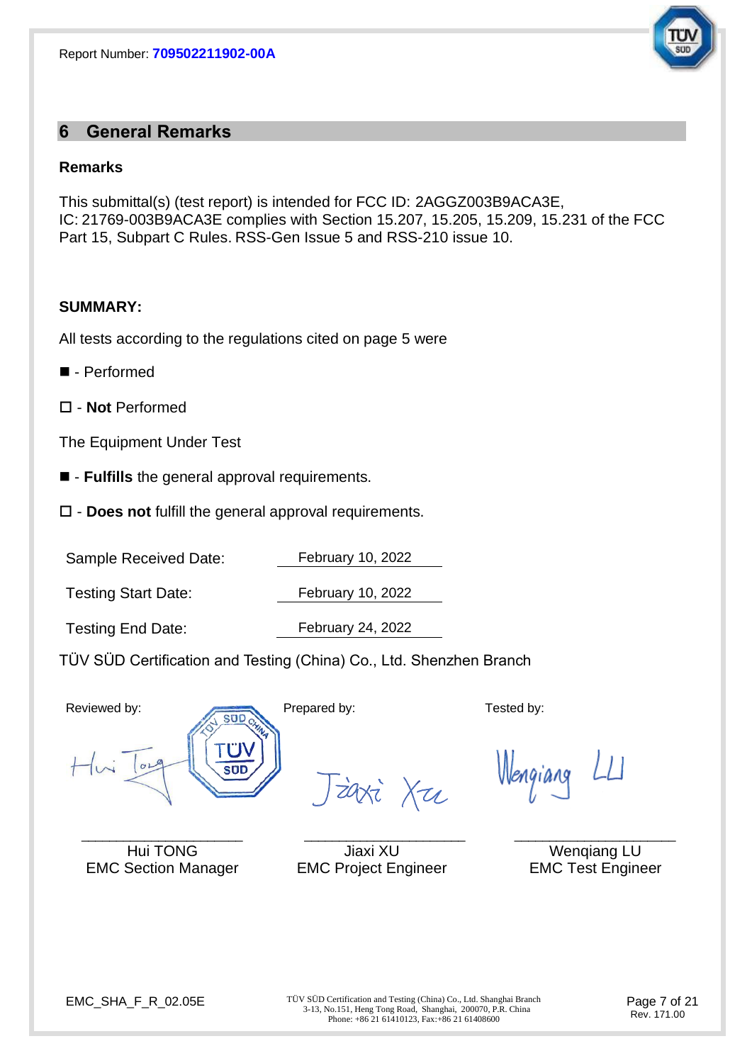### **6 General Remarks**

#### **Remarks**

This submittal(s) (test report) is intended for FCC ID: 2AGGZ003B9ACA3E, IC: 21769-003B9ACA3E complies with Section 15.207, 15.205, 15.209, 15.231 of the FCC Part 15, Subpart C Rules. RSS-Gen Issue 5 and RSS-210 issue 10.

#### **SUMMARY:**

All tests according to the regulations cited on page 5 were

- - Performed
- **Not** Performed

The Equipment Under Test

- - **Fulfills** the general approval requirements.
- **Does not** fulfill the general approval requirements.

Sample Received Date: February 10, 2022

Testing Start Date: February 10, 2022

Testing End Date: February 24, 2022

TÜV SÜD Certification and Testing (China) Co., Ltd. Shenzhen Branch

sur

Hui TONG Jiaxi XU Wenqiang LU EMC Section Manager EMC Project Engineer EMC Test Engineer

Reviewed by: Tested by: Prepared by: Tested by:

zaxi Xu

Ш Wengiang

 $\_$  ,  $\_$  ,  $\_$  ,  $\_$  ,  $\_$  ,  $\_$  ,  $\_$  ,  $\_$  ,  $\_$  ,  $\_$  ,  $\_$  ,  $\_$  ,  $\_$  ,  $\_$  ,  $\_$  ,  $\_$  ,  $\_$  ,  $\_$  ,  $\_$  ,  $\_$  ,  $\_$  ,  $\_$  ,  $\_$  ,  $\_$  ,  $\_$  ,  $\_$  ,  $\_$  ,  $\_$  ,  $\_$  ,  $\_$  ,  $\_$  ,  $\_$  ,  $\_$  ,  $\_$  ,  $\_$  ,  $\_$  ,  $\_$  ,

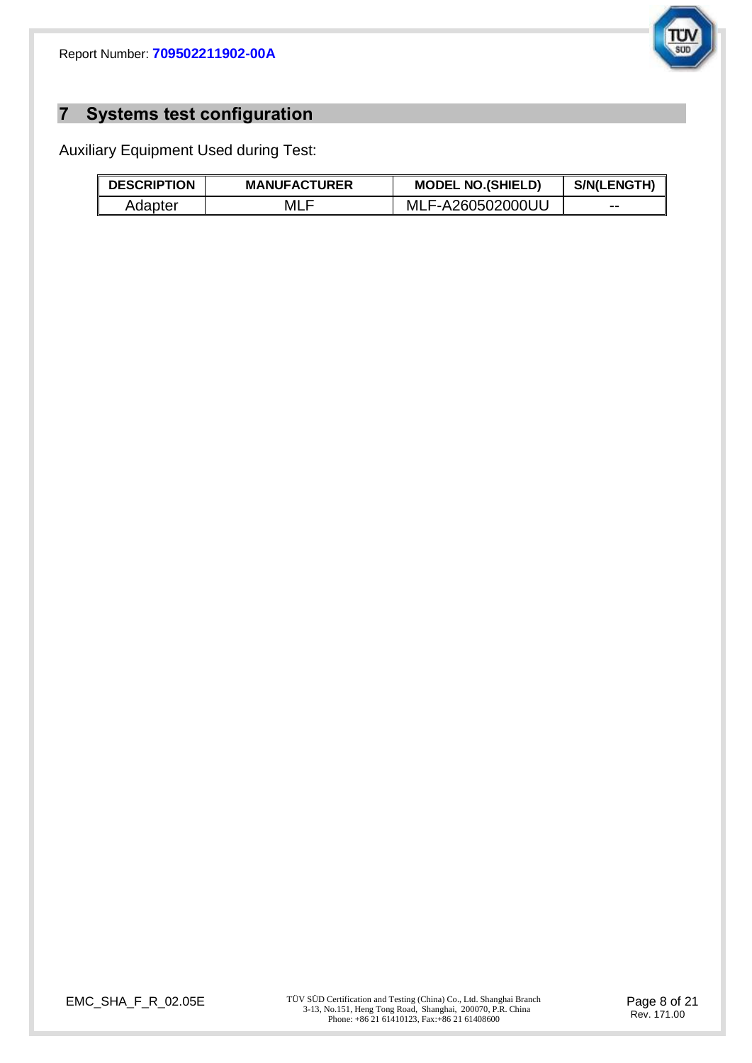

# **7 Systems test configuration**

Auxiliary Equipment Used during Test:

| <b>DESCRIPTION</b> | <b>MANUFACTURER</b> | <b>MODEL NO.(SHIELD)</b> | S/N(LENGTH) |
|--------------------|---------------------|--------------------------|-------------|
| Adapter            | MLF                 | MLF-A260502000UU         | $- -$       |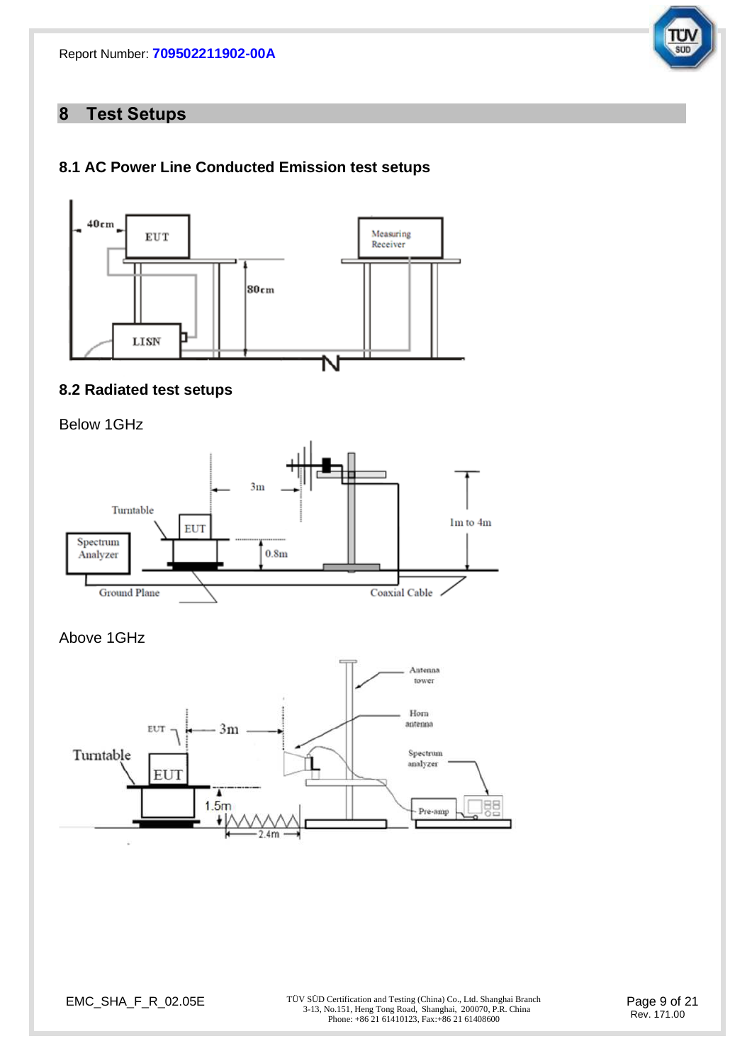

# **8 Test Setups**

#### **8.1 AC Power Line Conducted Emission test setups**



#### **8.2 Radiated test setups**





Above 1GHz



EMC\_SHA\_F\_R\_02.05E TÜV SÜD Certification and Testing (China) Co., Ltd. Shanghai Branch 3-13, No.151, Heng Tong Road, Shanghai, 200070, P.R. China Phone: +86 21 61410123, Fax: +86 21 61408600

Page 9 of 21 Rev. 171.00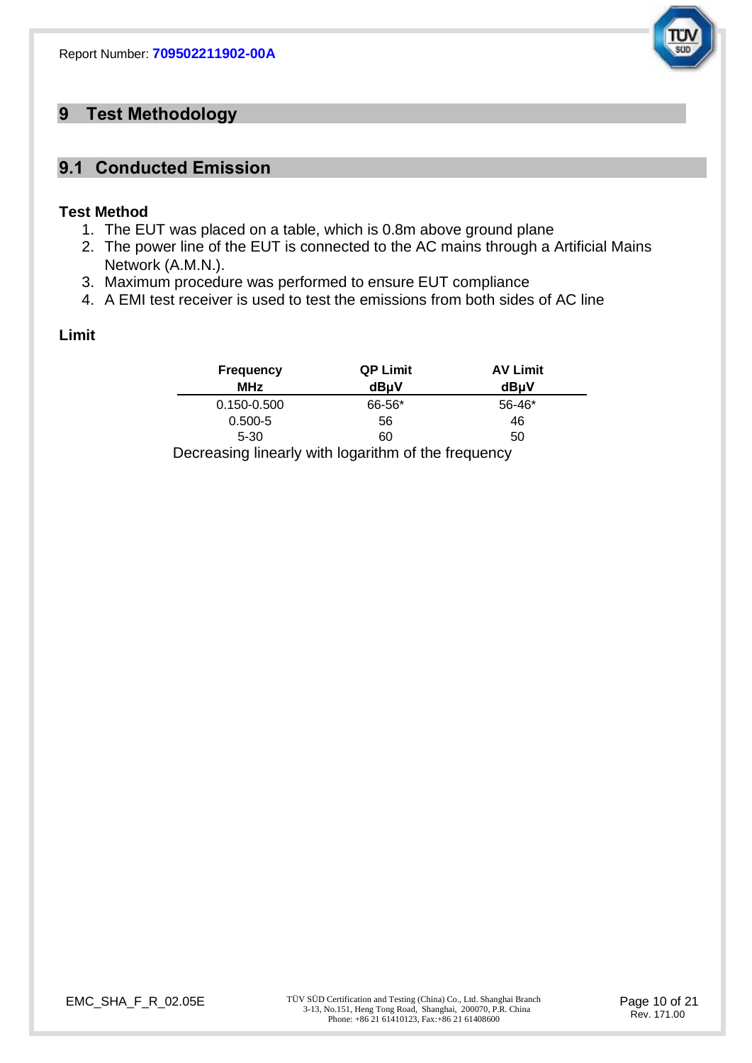

## **9 Test Methodology**

### **9.1 Conducted Emission**

#### **Test Method**

- 1. The EUT was placed on a table, which is 0.8m above ground plane
- 2. The power line of the EUT is connected to the AC mains through a Artificial Mains Network (A.M.N.).
- 3. Maximum procedure was performed to ensure EUT compliance
- 4. A EMI test receiver is used to test the emissions from both sides of AC line

#### **Limit**

| <b>Frequency</b>                                    | <b>QP Limit</b> | <b>AV Limit</b> |
|-----------------------------------------------------|-----------------|-----------------|
| <b>MHz</b>                                          | dBµV            | dBµV            |
| $0.150 - 0.500$                                     | 66-56*          | $56 - 46*$      |
| $0.500 - 5$                                         | 56              | 46              |
| $5 - 30$                                            | 60              | 50              |
| Decreasing linearly with logarithm of the frequency |                 |                 |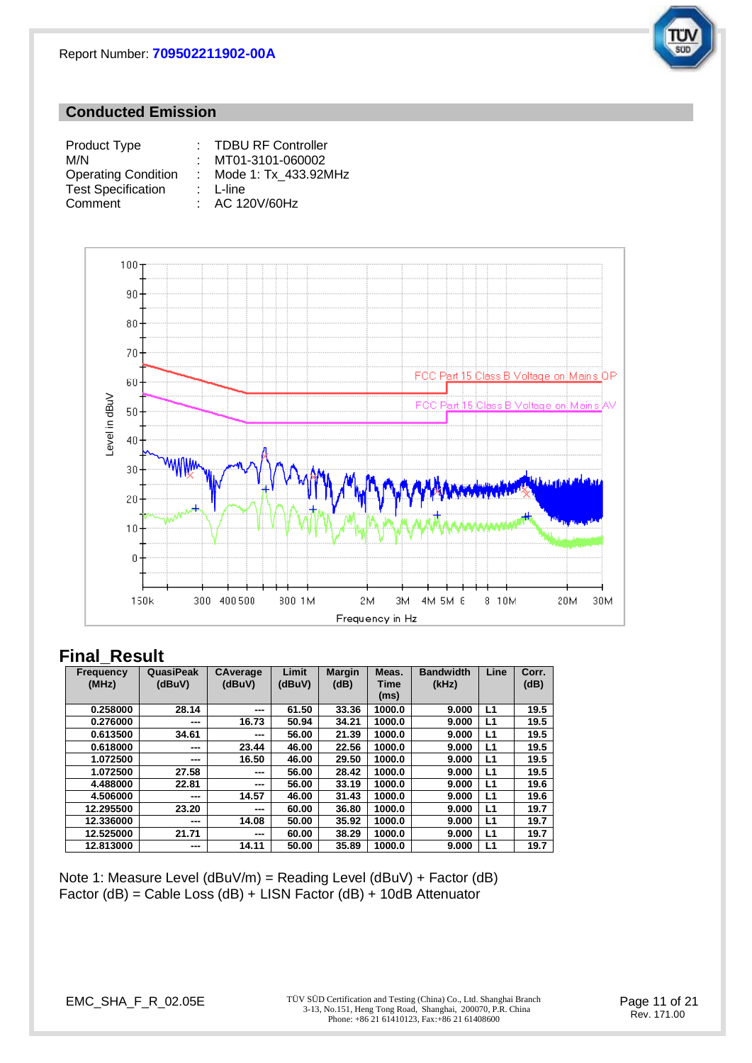

#### **Conducted Emission**

| Product Type               | : TDBU RF Controller      |
|----------------------------|---------------------------|
| M/N                        | MT01-3101-060002          |
| <b>Operating Condition</b> | : Mode 1: Tx 433.92MHz    |
| <b>Test Specification</b>  | $: L$ -line               |
| Comment                    | $\therefore$ AC 120V/60Hz |



## **Final\_Result**

| <b>Frequency</b><br>(MHz) | QuasiPeak<br>(dBuV)      | CAverage<br>(dBuV)     | Limit<br>(dBuV) | <b>Margin</b><br>(dB) | Meas.<br>Time<br>(ms) | <b>Bandwidth</b><br>(kHz) | Line | Corr.<br>(dB) |
|---------------------------|--------------------------|------------------------|-----------------|-----------------------|-----------------------|---------------------------|------|---------------|
| 0.258000                  | 28.14                    | $--$                   | 61.50           | 33.36                 | 1000.0                | 9.000                     | L1   | 19.5          |
| 0.276000                  | ---                      | 16.73                  | 50.94           | 34.21                 | 1000.0                | 9.000                     | L1   | 19.5          |
| 0.613500                  | 34.61                    | ---                    | 56.00           | 21.39                 | 1000.0                | 9.000                     | L1   | 19.5          |
| 0.618000                  | ---                      | 23.44                  | 46.00           | 22.56                 | 1000.0                | 9.000                     | L1   | 19.5          |
| 1.072500                  | $\overline{\phantom{a}}$ | 16.50                  | 46.00           | 29.50                 | 1000.0                | 9.000                     | L1   | 19.5          |
| 1.072500                  | 27.58                    | $--$                   | 56.00           | 28.42                 | 1000.0                | 9.000                     | L1   | 19.5          |
| 4.488000                  | 22.81                    | $\qquad \qquad \cdots$ | 56.00           | 33.19                 | 1000.0                | 9.000                     | L1   | 19.6          |
| 4.506000                  | ---                      | 14.57                  | 46.00           | 31.43                 | 1000.0                | 9.000                     | L1   | 19.6          |
| 12.295500                 | 23.20                    | ---                    | 60.00           | 36.80                 | 1000.0                | 9.000                     | L1   | 19.7          |
| 12.336000                 | ---                      | 14.08                  | 50.00           | 35.92                 | 1000.0                | 9.000                     | L1   | 19.7          |
| 12.525000                 | 21.71                    | $--$                   | 60.00           | 38.29                 | 1000.0                | 9.000                     | L1   | 19.7          |
| 12.813000                 | ---                      | 14.11                  | 50.00           | 35.89                 | 1000.0                | 9.000                     | L1   | 19.7          |

Note 1: Measure Level ( $dBuV/m$ ) = Reading Level ( $dBuV$ ) + Factor ( $dB$ ) Factor (dB) = Cable Loss (dB) + LISN Factor (dB) + 10dB Attenuator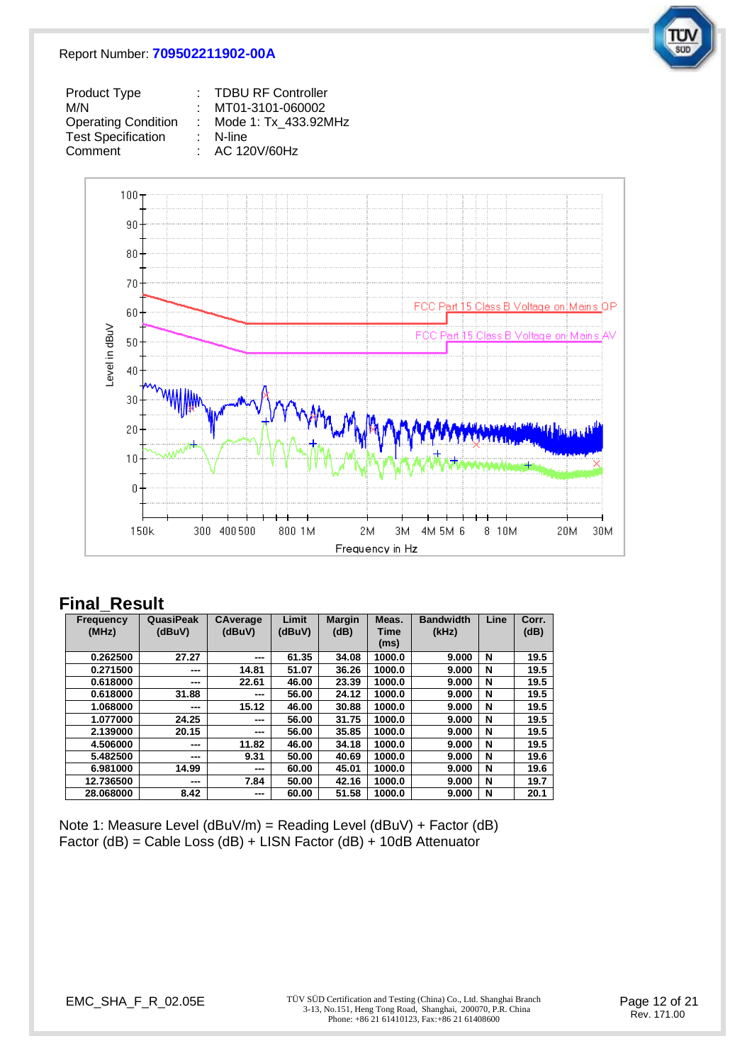#### Report Number: **709502211902-00A**



| Product Type               | : TDBU RF Controller   |
|----------------------------|------------------------|
| M/N                        | : $MT01-3101-060002$   |
| <b>Operating Condition</b> | : Mode 1: Tx 433.92MHz |
| <b>Test Specification</b>  | $\therefore$ N-line    |
| Comment                    | : AC 120V/60Hz         |
|                            |                        |



## **Final\_Result**

| <b>Frequency</b> | QuasiPeak | <b>CAverage</b> | Limit  | <b>Margin</b> | Meas.  | <b>Bandwidth</b> | Line | Corr. |
|------------------|-----------|-----------------|--------|---------------|--------|------------------|------|-------|
| (MHz)            | (dBuV)    | (dBuV)          | (dBuV) | (dB)          | Time   | (kHz)            |      | (dB)  |
|                  |           |                 |        |               | (ms)   |                  |      |       |
| 0.262500         | 27.27     | ---             | 61.35  | 34.08         | 1000.0 | 9.000            | N    | 19.5  |
| 0.271500         | ---       | 14.81           | 51.07  | 36.26         | 1000.0 | 9.000            | N    | 19.5  |
| 0.618000         | ---       | 22.61           | 46.00  | 23.39         | 1000.0 | 9.000            | N    | 19.5  |
| 0.618000         | 31.88     | ---             | 56.00  | 24.12         | 1000.0 | 9.000            | N    | 19.5  |
| 1.068000         | ---       | 15.12           | 46.00  | 30.88         | 1000.0 | 9.000            | N    | 19.5  |
| 1.077000         | 24.25     | ---             | 56.00  | 31.75         | 1000.0 | 9.000            | N    | 19.5  |
| 2.139000         | 20.15     | ---             | 56.00  | 35.85         | 1000.0 | 9.000            | N    | 19.5  |
| 4.506000         | ---       | 11.82           | 46.00  | 34.18         | 1000.0 | 9.000            | N    | 19.5  |
| 5.482500         | ---       | 9.31            | 50.00  | 40.69         | 1000.0 | 9.000            | N    | 19.6  |
| 6.981000         | 14.99     | ---             | 60.00  | 45.01         | 1000.0 | 9.000            | N    | 19.6  |
| 12.736500        | ---       | 7.84            | 50.00  | 42.16         | 1000.0 | 9.000            | N    | 19.7  |
| 28.068000        | 8.42      | ---             | 60.00  | 51.58         | 1000.0 | 9.000            | N    | 20.1  |

Note 1: Measure Level (dBuV/m) = Reading Level (dBuV) + Factor (dB) Factor (dB) = Cable Loss (dB) + LISN Factor (dB) + 10dB Attenuator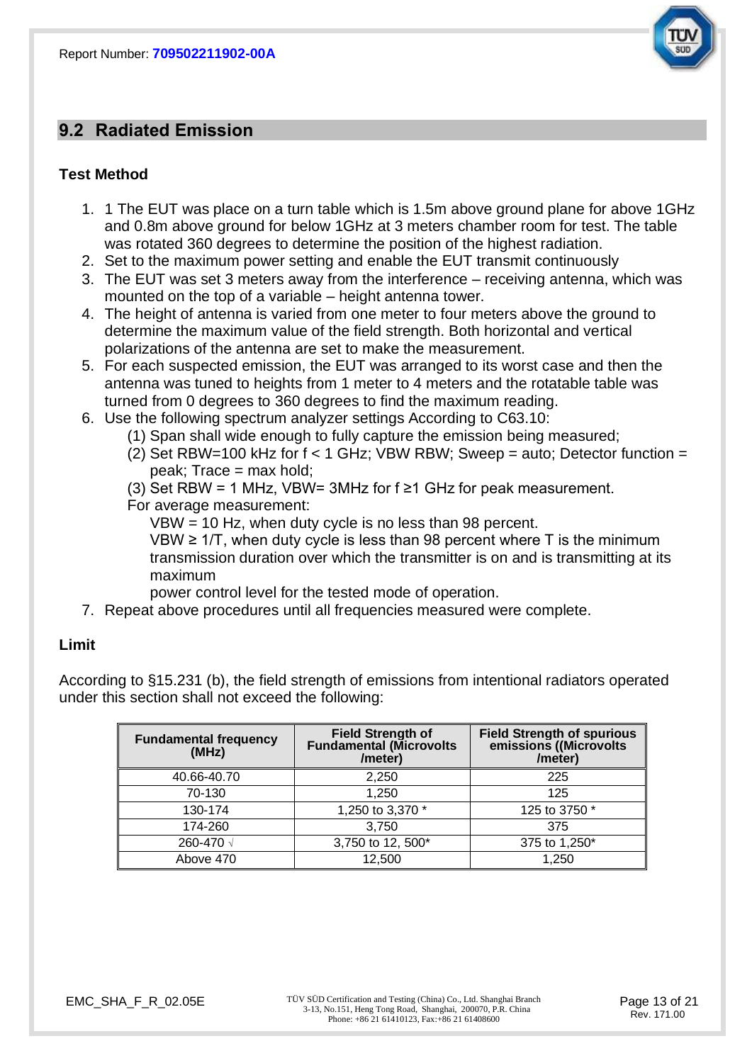

## **9.2 Radiated Emission**

#### **Test Method**

- 1. 1 The EUT was place on a turn table which is 1.5m above ground plane for above 1GHz and 0.8m above ground for below 1GHz at 3 meters chamber room for test. The table was rotated 360 degrees to determine the position of the highest radiation.
- 2. Set to the maximum power setting and enable the EUT transmit continuously
- 3. The EUT was set 3 meters away from the interference receiving antenna, which was mounted on the top of a variable – height antenna tower.
- 4. The height of antenna is varied from one meter to four meters above the ground to determine the maximum value of the field strength. Both horizontal and vertical polarizations of the antenna are set to make the measurement.
- 5. For each suspected emission, the EUT was arranged to its worst case and then the antenna was tuned to heights from 1 meter to 4 meters and the rotatable table was turned from 0 degrees to 360 degrees to find the maximum reading.
- 6. Use the following spectrum analyzer settings According to C63.10:
	- (1) Span shall wide enough to fully capture the emission being measured;
		- (2) Set RBW=100 kHz for  $f < 1$  GHz; VBW RBW; Sweep = auto; Detector function =  $peak$ ; Trace = max hold;
		- (3) Set RBW = 1 MHz, VBW= 3MHz for  $f \ge 1$  GHz for peak measurement.
		- For average measurement:
			- VBW = 10 Hz, when duty cycle is no less than 98 percent.

VBW ≥ 1/T, when duty cycle is less than 98 percent where  $T$  is the minimum transmission duration over which the transmitter is on and is transmitting at its maximum

power control level for the tested mode of operation.

7. Repeat above procedures until all frequencies measured were complete.

#### **Limit**

According to §15.231 (b), the field strength of emissions from intentional radiators operated under this section shall not exceed the following:

| <b>Fundamental frequency</b><br>(MHz) | <b>Field Strength of</b><br><b>Fundamental (Microvolts</b><br>/meter) | <b>Field Strength of spurious</b><br>emissions ((Microvolts<br>/meter) |
|---------------------------------------|-----------------------------------------------------------------------|------------------------------------------------------------------------|
| 40.66-40.70                           | 2,250                                                                 | 225                                                                    |
| 70-130                                | 1,250                                                                 | 125                                                                    |
| 130-174                               | 1,250 to 3,370 *                                                      | 125 to 3750 *                                                          |
| 174-260                               | 3,750                                                                 | 375                                                                    |
| 260-470 √                             | 3,750 to 12, 500*                                                     | 375 to 1,250*                                                          |
| Above 470                             | 12,500                                                                | 1,250                                                                  |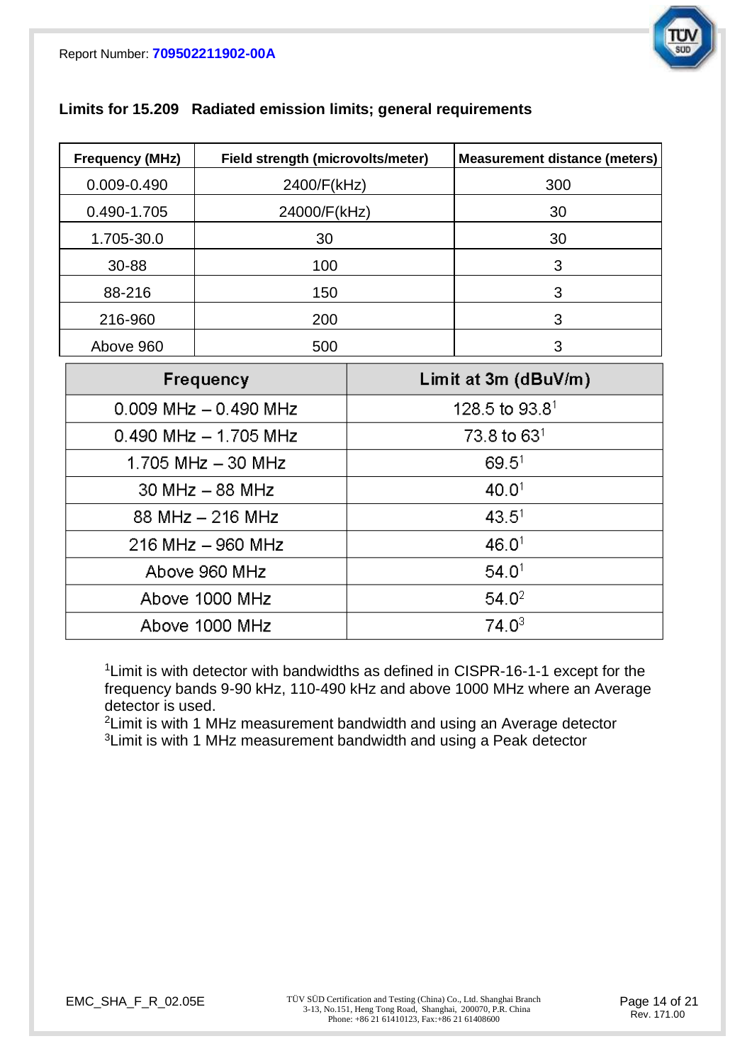

| <b>Frequency (MHz)</b> | Field strength (microvolts/meter) |    | <b>Measurement distance (meters)</b> |
|------------------------|-----------------------------------|----|--------------------------------------|
| 0.009-0.490            | 2400/F(kHz)                       |    | 300                                  |
| 0.490-1.705            | 24000/F(kHz)                      | 30 |                                      |
| 1.705-30.0             | 30                                |    | 30                                   |
| 30-88                  | 100                               |    | 3                                    |
| 88-216                 | 150                               |    | 3                                    |
| 216-960                | 200                               |    | 3                                    |
| Above 960              | 500                               |    | 3                                    |
|                        | Frequency                         |    | Limit at $3m$ (dBuV/m)               |

#### **Limits for 15.209 Radiated emission limits; general requirements**

| <b>ADOVE SPO</b><br>OUC |                           |                   | ۍ                          |
|-------------------------|---------------------------|-------------------|----------------------------|
| Frequency               |                           |                   | Limit at $3m$ (dBuV/m)     |
|                         | $0.009$ MHz $- 0.490$ MHz |                   | 128.5 to 93.8 <sup>1</sup> |
|                         | $0.490$ MHz $- 1.705$ MHz |                   | $73.8$ to $631$            |
| 1.705 MHz $-$ 30 MHz    |                           | 69.5 <sup>1</sup> |                            |
| $30$ MHz $-88$ MHz      |                           |                   | 40.0 <sup>1</sup>          |
| 88 MHz $-$ 216 MHz      |                           |                   | 43.5 <sup>1</sup>          |
| $216$ MHz $-$ 960 MHz   |                           |                   | 46.0 <sup>1</sup>          |
| Above 960 MHz           |                           |                   | 54.0 <sup>1</sup>          |
| Above 1000 MHz          |                           |                   | 54.0 <sup>2</sup>          |
| Above 1000 MHz          |                           |                   | $74.0^3$                   |

<sup>1</sup> Limit is with detector with bandwidths as defined in CISPR-16-1-1 except for the frequency bands 9-90 kHz, 110-490 kHz and above 1000 MHz where an Average detector is used.

<sup>2</sup>Limit is with 1 MHz measurement bandwidth and using an Average detector  $3$ Limit is with 1 MHz measurement bandwidth and using a Peak detector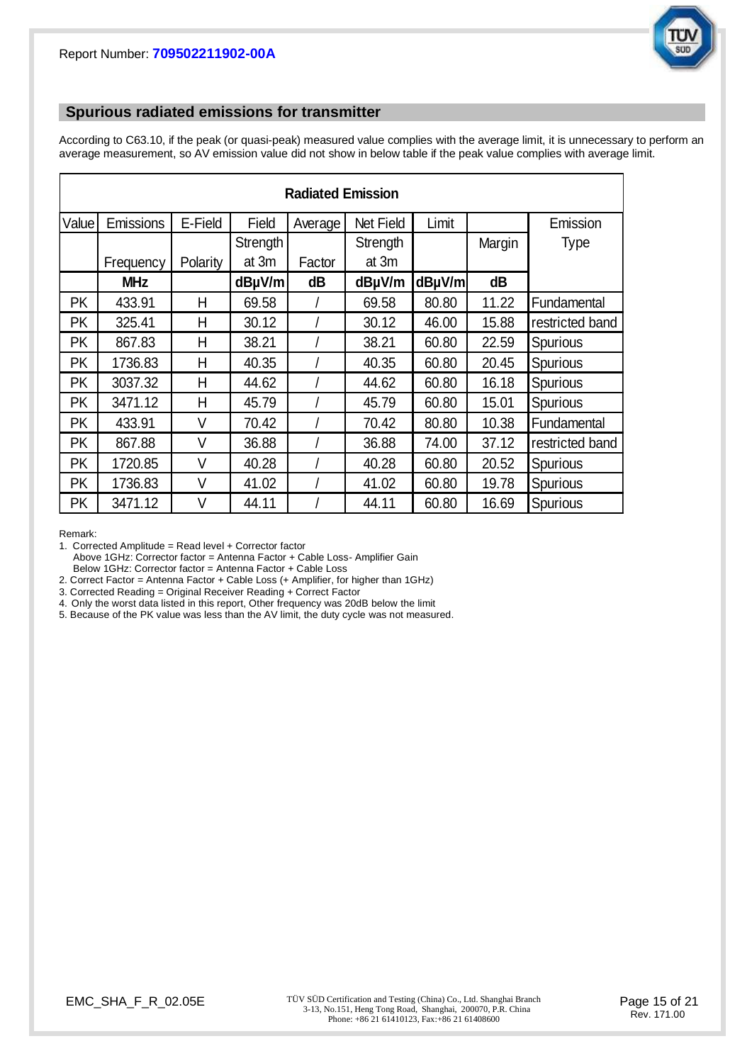

#### **Spurious radiated emissions for transmitter**

According to C63.10, if the peak (or quasi-peak) measured value complies with the average limit, it is unnecessary to perform an average measurement, so AV emission value did not show in below table if the peak value complies with average limit.

| <b>Radiated Emission</b> |            |          |          |         |           |        |        |                 |
|--------------------------|------------|----------|----------|---------|-----------|--------|--------|-----------------|
| Value                    | Emissions  | E-Field  | Field    | Average | Net Field | Limit  |        | Emission        |
|                          |            |          | Strength |         | Strength  |        | Margin | <b>Type</b>     |
|                          | Frequency  | Polarity | at 3m    | Factor  | at 3m     |        |        |                 |
|                          | <b>MHz</b> |          | dBµV/m   | dB      | dBµV/m    | dBµV/m | dB     |                 |
| <b>PK</b>                | 433.91     | H        | 69.58    |         | 69.58     | 80.80  | 11.22  | Fundamental     |
| <b>PK</b>                | 325.41     | Н        | 30.12    |         | 30.12     | 46.00  | 15.88  | restricted band |
| <b>PK</b>                | 867.83     | н        | 38.21    |         | 38.21     | 60.80  | 22.59  | <b>Spurious</b> |
| <b>PK</b>                | 1736.83    | н        | 40.35    |         | 40.35     | 60.80  | 20.45  | <b>Spurious</b> |
| <b>PK</b>                | 3037.32    | H        | 44.62    |         | 44.62     | 60.80  | 16.18  | <b>Spurious</b> |
| <b>PK</b>                | 3471.12    | Н        | 45.79    |         | 45.79     | 60.80  | 15.01  | <b>Spurious</b> |
| <b>PK</b>                | 433.91     | V        | 70.42    |         | 70.42     | 80.80  | 10.38  | Fundamental     |
| <b>PK</b>                | 867.88     | ٧        | 36.88    |         | 36.88     | 74.00  | 37.12  | restricted band |
| РK                       | 1720.85    | V        | 40.28    |         | 40.28     | 60.80  | 20.52  | <b>Spurious</b> |
| <b>PK</b>                | 1736.83    | V        | 41.02    |         | 41.02     | 60.80  | 19.78  | <b>Spurious</b> |
| РK                       | 3471.12    | ٧        | 44.11    |         | 44.11     | 60.80  | 16.69  | <b>Spurious</b> |

Remark:

1. Corrected Amplitude = Read level + Corrector factor

Above 1GHz: Corrector factor = Antenna Factor + Cable Loss- Amplifier Gain

Below 1GHz: Corrector factor = Antenna Factor + Cable Loss

2. Correct Factor = Antenna Factor + Cable Loss (+ Amplifier, for higher than 1GHz)

3. Corrected Reading = Original Receiver Reading + Correct Factor

4. Only the worst data listed in this report, Other frequency was 20dB below the limit

5. Because of the PK value was less than the AV limit, the duty cycle was not measured.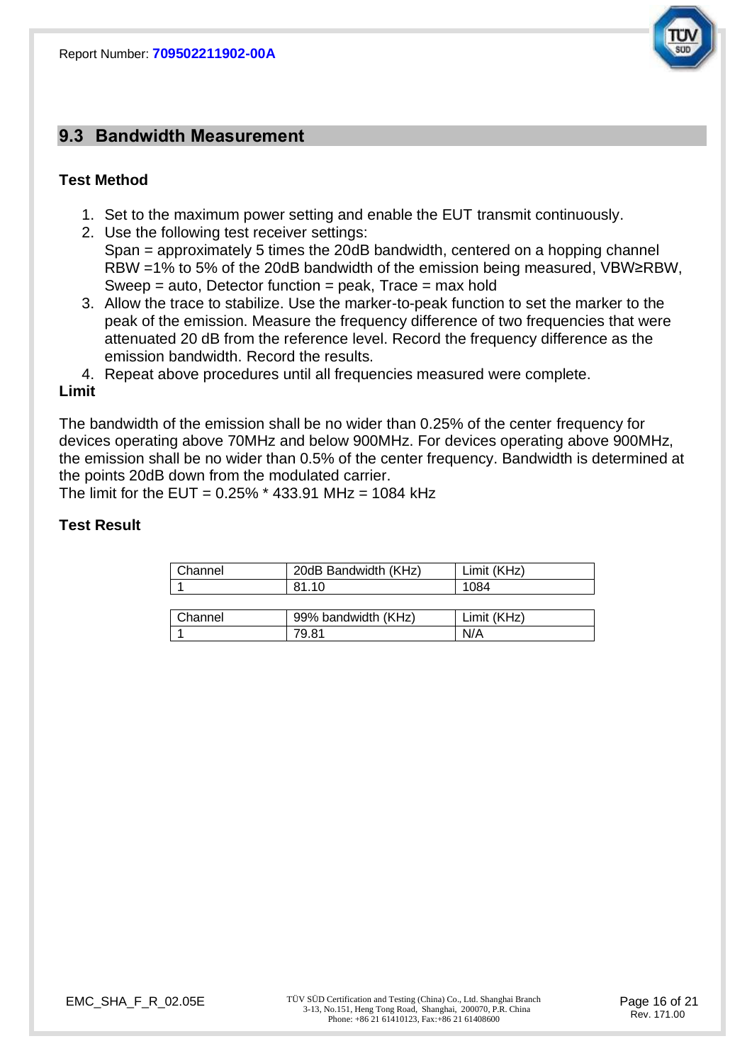

## **9.3 Bandwidth Measurement**

#### **Test Method**

- 1. Set to the maximum power setting and enable the EUT transmit continuously.
- 2. Use the following test receiver settings: Span = approximately 5 times the 20dB bandwidth, centered on a hopping channel RBW =1% to 5% of the 20dB bandwidth of the emission being measured, VBW≥RBW, Sweep = auto, Detector function = peak, Trace = max hold
- 3. Allow the trace to stabilize. Use the marker-to-peak function to set the marker to the peak of the emission. Measure the frequency difference of two frequencies that were attenuated 20 dB from the reference level. Record the frequency difference as the emission bandwidth. Record the results.
- 4. Repeat above procedures until all frequencies measured were complete.

1 79.81 N/A

#### **Limit**

The bandwidth of the emission shall be no wider than 0.25% of the center frequency for devices operating above 70MHz and below 900MHz. For devices operating above 900MHz, the emission shall be no wider than 0.5% of the center frequency. Bandwidth is determined at the points 20dB down from the modulated carrier.

The limit for the EUT =  $0.25\%$  \* 433.91 MHz = 1084 kHz

#### **Test Result**

| Channel | 20dB Bandwidth (KHz) | Limit (KHz) |
|---------|----------------------|-------------|
|         | 81.10                | 1084        |
|         |                      |             |
| Channel | 99% bandwidth (KHz)  | Limit (KHz) |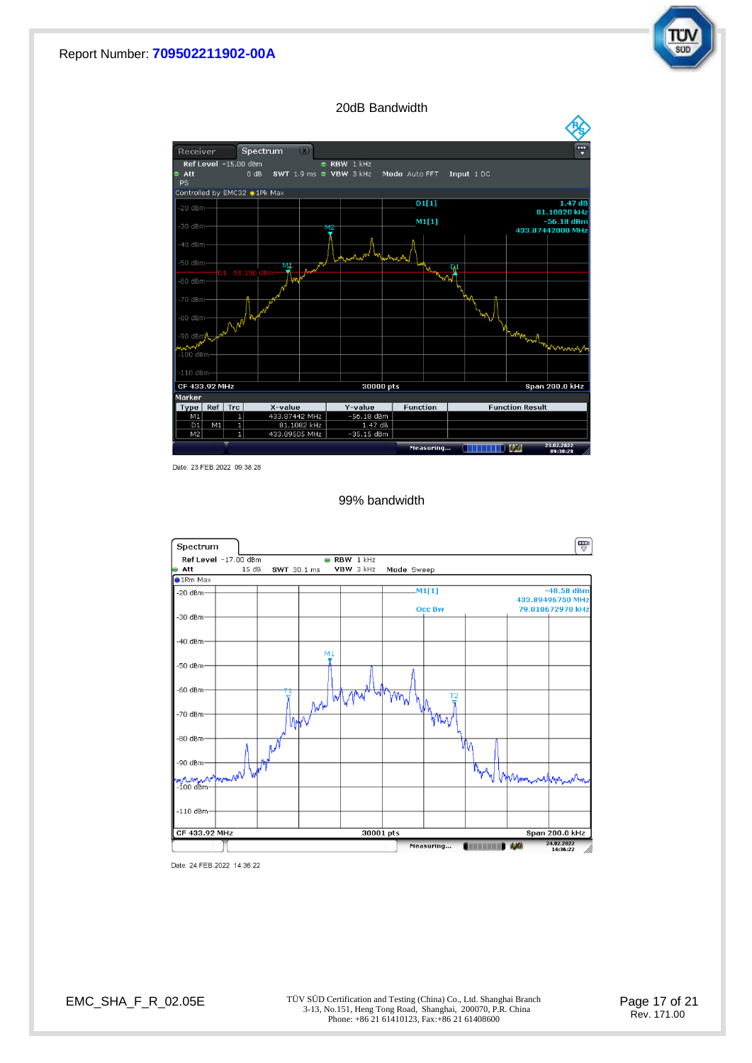

20dB Bandwidth



Date: 23. FEB. 2022 09:38:28

#### 99% bandwidth



Date: 24.FEB.2022 14:36:22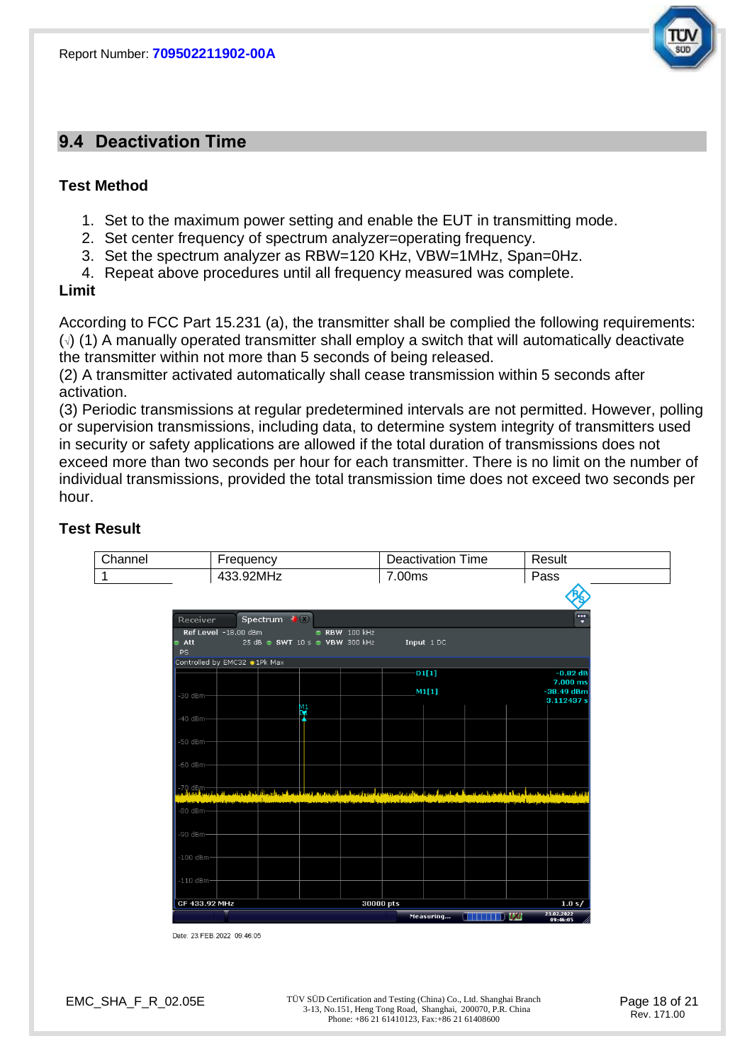## **9.4 Deactivation Time**

#### **Test Method**

- 1. Set to the maximum power setting and enable the EUT in transmitting mode.
- 2. Set center frequency of spectrum analyzer=operating frequency.
- 3. Set the spectrum analyzer as RBW=120 KHz, VBW=1MHz, Span=0Hz.
- 4. Repeat above procedures until all frequency measured was complete.

#### **Limit**

According to FCC Part 15.231 (a), the transmitter shall be complied the following requirements: (√) (1) A manually operated transmitter shall employ a switch that will automatically deactivate the transmitter within not more than 5 seconds of being released.

(2) A transmitter activated automatically shall cease transmission within 5 seconds after activation.

(3) Periodic transmissions at regular predetermined intervals are not permitted. However, polling or supervision transmissions, including data, to determine system integrity of transmitters used in security or safety applications are allowed if the total duration of transmissions does not exceed more than two seconds per hour for each transmitter. There is no limit on the number of individual transmissions, provided the total transmission time does not exceed two seconds per hour.

## **Test Result**



Date: 23. FEB. 2022 09:46:05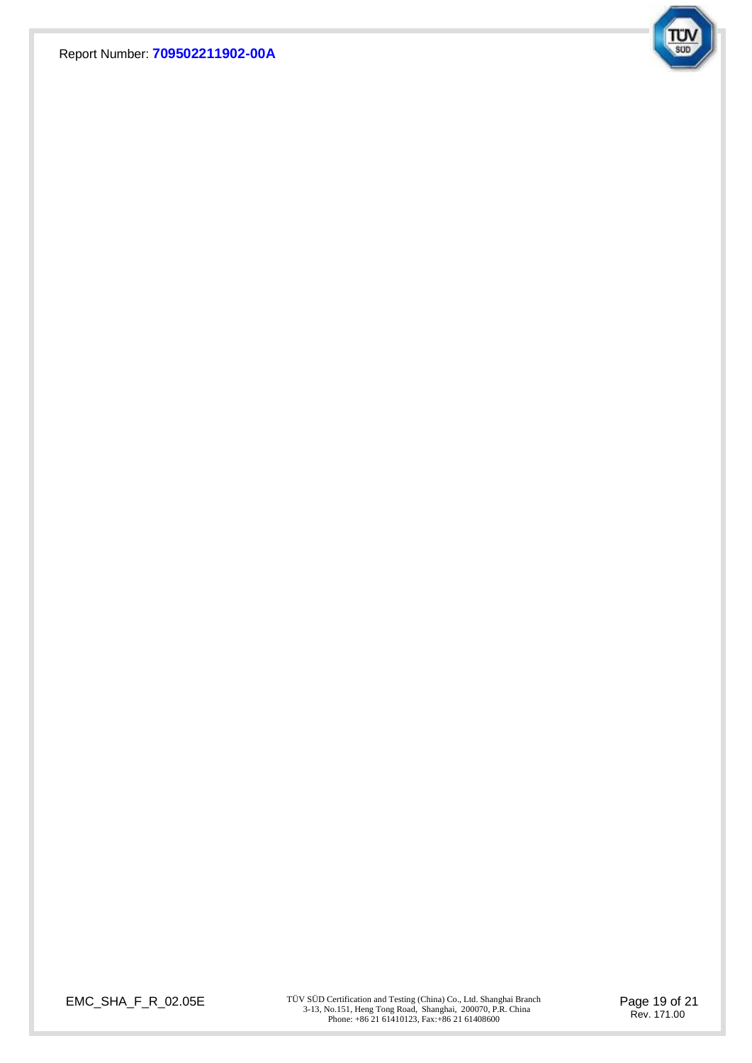Report Number: **709502211902-00A**



EMC\_SHA\_F\_R\_02.05E TÜV SÜD Certification and Testing (China) Co., Ltd. Shanghai Branch 3-13, No.151, Heng Tong Road, Shanghai, 200070, P.R. China Phone: +86 21 61410123, Fax:+86 21 61408600

Page 19 of 21 Rev. 171.00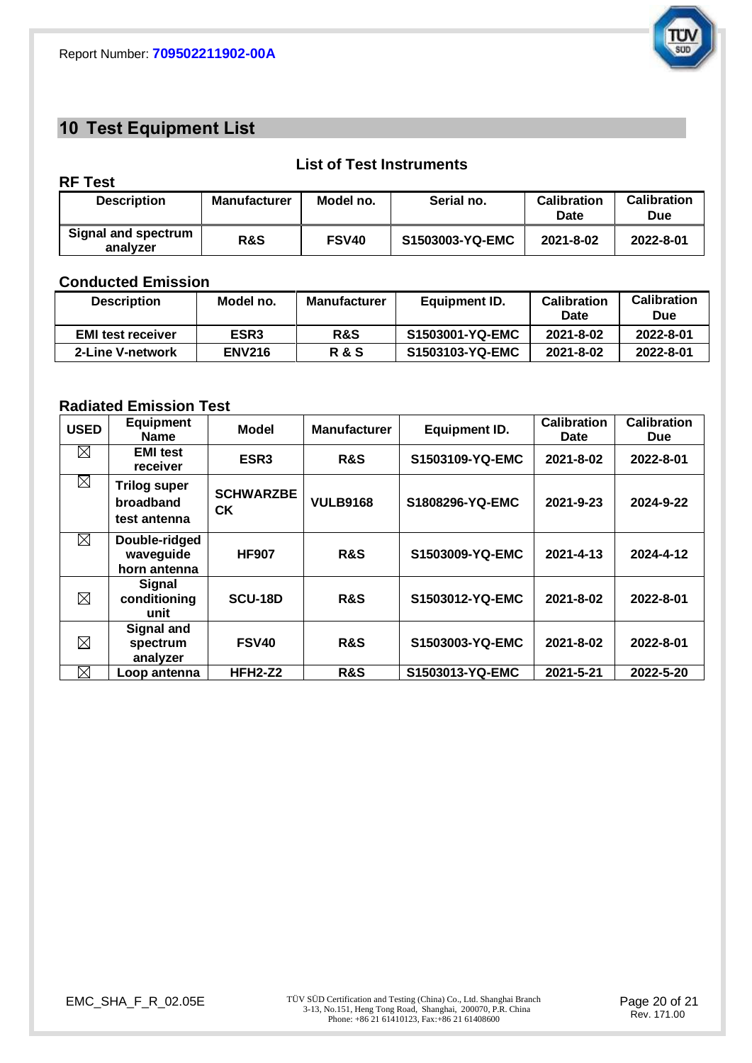

## **10 Test Equipment List**

#### **List of Test Instruments**

| <b>RF Test</b>                  |                     |              |                 |                                   |                                  |
|---------------------------------|---------------------|--------------|-----------------|-----------------------------------|----------------------------------|
| <b>Description</b>              | <b>Manufacturer</b> | Model no.    | Serial no.      | <b>Calibration</b><br><b>Date</b> | <b>Calibration</b><br><b>Due</b> |
| Signal and spectrum<br>analyzer | R&S                 | <b>FSV40</b> | S1503003-YQ-EMC | 2021-8-02                         | 2022-8-01                        |

#### **Conducted Emission**

| <b>Description</b>       | Model no.        | <b>Manufacturer</b> | Equipment ID.   | <b>Calibration</b><br><b>Date</b> | <b>Calibration</b><br><b>Due</b> |
|--------------------------|------------------|---------------------|-----------------|-----------------------------------|----------------------------------|
| <b>EMI test receiver</b> | ESR <sub>3</sub> | R&S                 | S1503001-YQ-EMC | 2021-8-02                         | 2022-8-01                        |
| 2-Line V-network         | <b>ENV216</b>    | <b>R&amp;S</b>      | S1503103-YQ-EMC | 2021-8-02                         | 2022-8-01                        |

#### **Radiated Emission Test**

| <b>USED</b> | <b>Equipment</b><br><b>Name</b>                  | <b>Model</b>           | <b>Manufacturer</b> | <b>Equipment ID.</b> | <b>Calibration</b><br><b>Date</b> | <b>Calibration</b><br><b>Due</b> |
|-------------|--------------------------------------------------|------------------------|---------------------|----------------------|-----------------------------------|----------------------------------|
| $\boxtimes$ | <b>EMI</b> test<br>receiver                      | ESR <sub>3</sub>       | <b>R&amp;S</b>      | S1503109-YQ-EMC      | 2021-8-02                         | 2022-8-01                        |
| $\boxtimes$ | <b>Trilog super</b><br>broadband<br>test antenna | <b>SCHWARZBE</b><br>СK | <b>VULB9168</b>     | S1808296-YQ-EMC      | 2021-9-23                         | 2024-9-22                        |
| ⊠           | Double-ridged<br>waveguide<br>horn antenna       | <b>HF907</b>           | R&S                 | S1503009-YQ-EMC      | 2021-4-13                         | 2024-4-12                        |
| ⊠           | <b>Signal</b><br>conditioning<br>unit            | <b>SCU-18D</b>         | <b>R&amp;S</b>      | S1503012-YQ-EMC      | 2021-8-02                         | 2022-8-01                        |
| ⊠           | Signal and<br>spectrum<br>analyzer               | <b>FSV40</b>           | R&S                 | S1503003-YQ-EMC      | 2021-8-02                         | 2022-8-01                        |
| $\boxtimes$ | Loop antenna                                     | <b>HFH2-Z2</b>         | R&S                 | S1503013-YQ-EMC      | 2021-5-21                         | 2022-5-20                        |